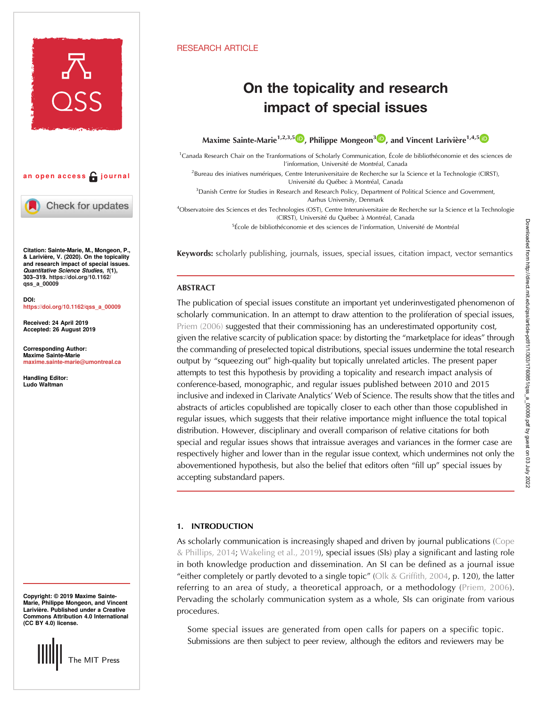

## an open access  $\bigcap$  journal

Check for updates

Citation: Sainte-Marie, M., Mongeon, P., & Larivière, V. (2020). On the topicality and research impact of special issues. Quantitative Science Studies, 1(1), 303–319. [https://doi.org/10.1162/](https://doi.org/10.1162/qss_a_00009) [qss\\_a\\_00009](https://doi.org/10.1162/qss_a_00009)

DOI: [https://doi.org/10.1162/qss\\_a\\_00009](https://doi.org/10.1162/qss_a_00009)

Received: 24 April 2019 Accepted: 26 August 2019

Corresponding Author: Maxime Sainte-Marie [maxime.sainte-marie@umontreal.ca](mailto:maxime.sainte-marie@umontreal.ca)

Handling Editor: Ludo Waltman

Copyright: © 2019 Maxime Sainte-Marie, Philippe Mongeon, and Vincent Larivière. Published under a Creative Commons Attribution 4.0 International (CC BY 4.0) license.



## RESEARCH ARTICLE

# On the topicality and research impact of special issues

Maxime Sainte-Marie<sup>1,2,[3](https://orcid.org/0000-0003-1021-059X),5</sup><sup>(D</sup>), Philippe Mongeon<sup>3</sup><sup>(D</sup>), and Vincent Larivière<sup>1,4,5</sup><sup>(D</sup>)

<sup>1</sup> Canada Research Chair on the Tranformations of Scholarly Communication, École de bibliothéconomie et des sciences de l'information, Université de Montréal, Canada

<sup>2</sup>Bureau des iniatives numériques, Centre Interuniversitaire de Recherche sur la Science et la Technologie (CIRST), Université du Québec à Montréal, Canada

<sup>3</sup>Danish Centre for Studies in Research and Research Policy, Department of Political Science and Government, Aarhus University, Denmark

4 Observatoire des Sciences et des Technologies (OST), Centre Interuniversitaire de Recherche sur la Science et la Technologie (CIRST), Université du Québec à Montréal, Canada

5 École de bibliothéconomie et des sciences de l'information, Université de Montréal

Keywords: scholarly publishing, journals, issues, special issues, citation impact, vector semantics

## **ABSTRACT**

The publication of special issues constitute an important yet underinvestigated phenomenon of scholarly communication. In an attempt to draw attention to the proliferation of special issues, [Priem \(2006\)](#page-16-0) suggested that their commissioning has an underestimated opportunity cost, given the relative scarcity of publication space: by distorting the "marketplace for ideas" through the commanding of preselected topical distributions, special issues undermine the total research output by "squeezing out" high-quality but topically unrelated articles. The present paper attempts to test this hypothesis by providing a topicality and research impact analysis of conference-based, monographic, and regular issues published between 2010 and 2015 inclusive and indexed in Clarivate Analytics' Web of Science. The results show that the titles and abstracts of articles copublished are topically closer to each other than those copublished in regular issues, which suggests that their relative importance might influence the total topical distribution. However, disciplinary and overall comparison of relative citations for both special and regular issues shows that intraissue averages and variances in the former case are respectively higher and lower than in the regular issue context, which undermines not only the abovementioned hypothesis, but also the belief that editors often "fill up" special issues by accepting substandard papers.

## 1. INTRODUCTION

As scholarly communication is increasingly shaped and driven by journal publications [\(Cope](#page-15-0) [& Phillips, 2014;](#page-15-0) [Wakeling et al., 2019](#page-16-0)), special issues (SIs) play a significant and lasting role in both knowledge production and dissemination. An SI can be defined as a journal issue "either completely or partly devoted to a single topic" [\(Olk & Griffith, 2004,](#page-16-0) p. 120), the latter referring to an area of study, a theoretical approach, or a methodology ([Priem, 2006\)](#page-16-0). Pervading the scholarly communication system as a whole, SIs can originate from various procedures.

Some special issues are generated from open calls for papers on a specific topic. Submissions are then subject to peer review, although the editors and reviewers may be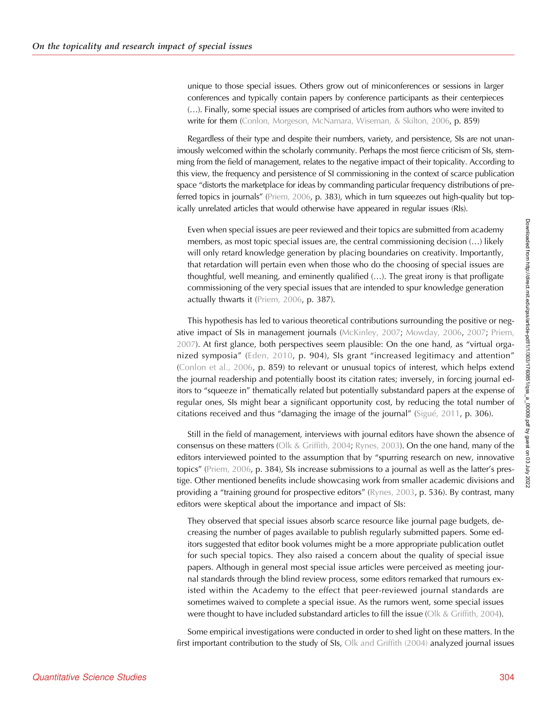unique to those special issues. Others grow out of miniconferences or sessions in larger conferences and typically contain papers by conference participants as their centerpieces (…). Finally, some special issues are comprised of articles from authors who were invited to write for them [\(Conlon, Morgeson, McNamara, Wiseman, & Skilton, 2006](#page-15-0), p. 859)

Regardless of their type and despite their numbers, variety, and persistence, SIs are not unanimously welcomed within the scholarly community. Perhaps the most fierce criticism of SIs, stemming from the field of management, relates to the negative impact of their topicality. According to this view, the frequency and persistence of SI commissioning in the context of scarce publication space "distorts the marketplace for ideas by commanding particular frequency distributions of pre-ferred topics in journals" ([Priem, 2006,](#page-16-0) p. 383), which in turn squeezes out high-quality but topically unrelated articles that would otherwise have appeared in regular issues (RIs).

Even when special issues are peer reviewed and their topics are submitted from academy members, as most topic special issues are, the central commissioning decision (…) likely will only retard knowledge generation by placing boundaries on creativity. Importantly, that retardation will pertain even when those who do the choosing of special issues are thoughtful, well meaning, and eminently qualified (…). The great irony is that profligate commissioning of the very special issues that are intended to spur knowledge generation actually thwarts it [\(Priem, 2006,](#page-16-0) p. 387).

This hypothesis has led to various theoretical contributions surrounding the positive or neg-ative impact of SIs in management journals ([McKinley, 2007](#page-16-0); [Mowday, 2006](#page-16-0), [2007](#page-16-0); [Priem,](#page-16-0) [2007\)](#page-16-0). At first glance, both perspectives seem plausible: On the one hand, as "virtual organized symposia" [\(Eden, 2010,](#page-16-0) p. 904), SIs grant "increased legitimacy and attention" ([Conlon et al., 2006,](#page-15-0) p. 859) to relevant or unusual topics of interest, which helps extend the journal readership and potentially boost its citation rates; inversely, in forcing journal editors to "squeeze in" thematically related but potentially substandard papers at the expense of regular ones, SIs might bear a significant opportunity cost, by reducing the total number of citations received and thus "damaging the image of the journal" [\(Sigué, 2011](#page-16-0), p. 306).

Still in the field of management, interviews with journal editors have shown the absence of consensus on these matters ([Olk & Griffith, 2004;](#page-16-0) [Rynes, 2003\)](#page-16-0). On the one hand, many of the editors interviewed pointed to the assumption that by "spurring research on new, innovative topics" [\(Priem, 2006,](#page-16-0) p. 384), SIs increase submissions to a journal as well as the latter's prestige. Other mentioned benefits include showcasing work from smaller academic divisions and providing a "training ground for prospective editors" [\(Rynes, 2003](#page-16-0), p. 536). By contrast, many editors were skeptical about the importance and impact of SIs:

They observed that special issues absorb scarce resource like journal page budgets, decreasing the number of pages available to publish regularly submitted papers. Some editors suggested that editor book volumes might be a more appropriate publication outlet for such special topics. They also raised a concern about the quality of special issue papers. Although in general most special issue articles were perceived as meeting journal standards through the blind review process, some editors remarked that rumours existed within the Academy to the effect that peer-reviewed journal standards are sometimes waived to complete a special issue. As the rumors went, some special issues were thought to have included substandard articles to fill the issue [\(Olk & Griffith, 2004\)](#page-16-0).

Some empirical investigations were conducted in order to shed light on these matters. In the first important contribution to the study of SIs, [Olk and Griffith \(2004\)](#page-16-0) analyzed journal issues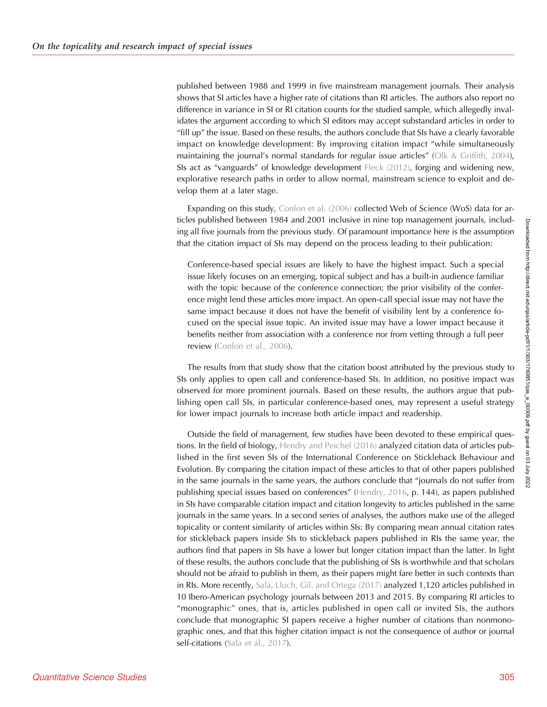published between 1988 and 1999 in five mainstream management journals. Their analysis shows that SI articles have a higher rate of citations than RI articles. The authors also report no difference in variance in SI or RI citation counts for the studied sample, which allegedly invalidates the argument according to which SI editors may accept substandard articles in order to "fill up" the issue. Based on these results, the authors conclude that SIs have a clearly favorable impact on knowledge development: By improving citation impact "while simultaneously maintaining the journal's normal standards for regular issue articles" [\(Olk & Griffith, 2004\)](#page-16-0), SIs act as "vanguards" of knowledge development [Fleck \(2012\),](#page-16-0) forging and widening new, explorative research paths in order to allow normal, mainstream science to exploit and develop them at a later stage.

Expanding on this study, [Conlon et al. \(2006\)](#page-15-0) collected Web of Science (WoS) data for articles published between 1984 and 2001 inclusive in nine top management journals, including all five journals from the previous study. Of paramount importance here is the assumption that the citation impact of SIs may depend on the process leading to their publication:

Conference-based special issues are likely to have the highest impact. Such a special issue likely focuses on an emerging, topical subject and has a built-in audience familiar with the topic because of the conference connection; the prior visibility of the conference might lend these articles more impact. An open-call special issue may not have the same impact because it does not have the benefit of visibility lent by a conference focused on the special issue topic. An invited issue may have a lower impact because it benefits neither from association with a conference nor from vetting through a full peer review ([Conlon et al., 2006\)](#page-15-0).

The results from that study show that the citation boost attributed by the previous study to SIs only applies to open call and conference-based SIs. In addition, no positive impact was observed for more prominent journals. Based on these results, the authors argue that publishing open call SIs, in particular conference-based ones, may represent a useful strategy for lower impact journals to increase both article impact and readership.

Outside the field of management, few studies have been devoted to these empirical questions. In the field of biology, [Hendry and Peichel \(2016\)](#page-16-0) analyzed citation data of articles published in the first seven SIs of the International Conference on Stickleback Behaviour and Evolution. By comparing the citation impact of these articles to that of other papers published in the same journals in the same years, the authors conclude that "journals do not suffer from publishing special issues based on conferences" ([Hendry, 2016,](#page-16-0) p. 144), as papers published in SIs have comparable citation impact and citation longevity to articles published in the same journals in the same years. In a second series of analyses, the authors make use of the alleged topicality or content similarity of articles within SIs: By comparing mean annual citation rates for stickleback papers inside SIs to stickleback papers published in RIs the same year, the authors find that papers in SIs have a lower but longer citation impact than the latter. In light of these results, the authors conclude that the publishing of SIs is worthwhile and that scholars should not be afraid to publish in them, as their papers might fare better in such contexts than in RIs. More recently, [Sala, Lluch, Gil, and Ortega \(2017\)](#page-16-0) analyzed 1,120 articles published in 10 Ibero-American psychology journals between 2013 and 2015. By comparing RI articles to "monographic" ones, that is, articles published in open call or invited SIs, the authors conclude that monographic SI papers receive a higher number of citations than nonmonographic ones, and that this higher citation impact is not the consequence of author or journal self-citations [\(Sala et al., 2017\)](#page-16-0).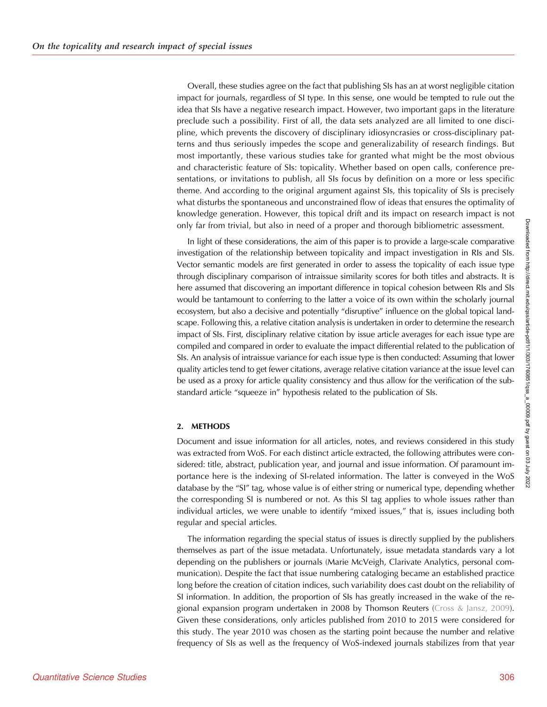Overall, these studies agree on the fact that publishing SIs has an at worst negligible citation impact for journals, regardless of SI type. In this sense, one would be tempted to rule out the idea that SIs have a negative research impact. However, two important gaps in the literature preclude such a possibility. First of all, the data sets analyzed are all limited to one discipline, which prevents the discovery of disciplinary idiosyncrasies or cross-disciplinary patterns and thus seriously impedes the scope and generalizability of research findings. But most importantly, these various studies take for granted what might be the most obvious and characteristic feature of SIs: topicality. Whether based on open calls, conference presentations, or invitations to publish, all SIs focus by definition on a more or less specific theme. And according to the original argument against SIs, this topicality of SIs is precisely what disturbs the spontaneous and unconstrained flow of ideas that ensures the optimality of knowledge generation. However, this topical drift and its impact on research impact is not only far from trivial, but also in need of a proper and thorough bibliometric assessment.

In light of these considerations, the aim of this paper is to provide a large-scale comparative investigation of the relationship between topicality and impact investigation in RIs and SIs. Vector semantic models are first generated in order to assess the topicality of each issue type through disciplinary comparison of intraissue similarity scores for both titles and abstracts. It is here assumed that discovering an important difference in topical cohesion between RIs and SIs would be tantamount to conferring to the latter a voice of its own within the scholarly journal ecosystem, but also a decisive and potentially "disruptive" influence on the global topical landscape. Following this, a relative citation analysis is undertaken in order to determine the research impact of SIs. First, disciplinary relative citation by issue article averages for each issue type are compiled and compared in order to evaluate the impact differential related to the publication of SIs. An analysis of intraissue variance for each issue type is then conducted: Assuming that lower quality articles tend to get fewer citations, average relative citation variance at the issue level can be used as a proxy for article quality consistency and thus allow for the verification of the substandard article "squeeze in" hypothesis related to the publication of SIs.

## 2. METHODS

Document and issue information for all articles, notes, and reviews considered in this study was extracted from WoS. For each distinct article extracted, the following attributes were considered: title, abstract, publication year, and journal and issue information. Of paramount importance here is the indexing of SI-related information. The latter is conveyed in the WoS database by the "SI" tag, whose value is of either string or numerical type, depending whether the corresponding SI is numbered or not. As this SI tag applies to whole issues rather than individual articles, we were unable to identify "mixed issues," that is, issues including both regular and special articles.

The information regarding the special status of issues is directly supplied by the publishers themselves as part of the issue metadata. Unfortunately, issue metadata standards vary a lot depending on the publishers or journals (Marie McVeigh, Clarivate Analytics, personal communication). Despite the fact that issue numbering cataloging became an established practice long before the creation of citation indices, such variability does cast doubt on the reliability of SI information. In addition, the proportion of SIs has greatly increased in the wake of the regional expansion program undertaken in 2008 by Thomson Reuters [\(Cross & Jansz, 2009\)](#page-15-0). Given these considerations, only articles published from 2010 to 2015 were considered for this study. The year 2010 was chosen as the starting point because the number and relative frequency of SIs as well as the frequency of WoS-indexed journals stabilizes from that year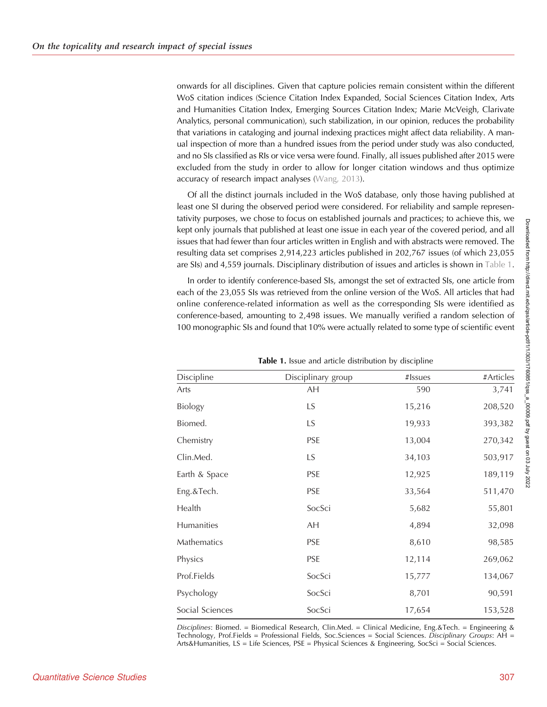onwards for all disciplines. Given that capture policies remain consistent within the different WoS citation indices (Science Citation Index Expanded, Social Sciences Citation Index, Arts and Humanities Citation Index, Emerging Sources Citation Index; Marie McVeigh, Clarivate Analytics, personal communication), such stabilization, in our opinion, reduces the probability that variations in cataloging and journal indexing practices might affect data reliability. A manual inspection of more than a hundred issues from the period under study was also conducted, and no SIs classified as RIs or vice versa were found. Finally, all issues published after 2015 were excluded from the study in order to allow for longer citation windows and thus optimize accuracy of research impact analyses [\(Wang, 2013](#page-16-0)).

Of all the distinct journals included in the WoS database, only those having published at least one SI during the observed period were considered. For reliability and sample representativity purposes, we chose to focus on established journals and practices; to achieve this, we kept only journals that published at least one issue in each year of the covered period, and all issues that had fewer than four articles written in English and with abstracts were removed. The resulting data set comprises 2,914,223 articles published in 202,767 issues (of which 23,055 are SIs) and 4,559 journals. Disciplinary distribution of issues and articles is shown in Table 1.

In order to identify conference-based SIs, amongst the set of extracted SIs, one article from each of the 23,055 SIs was retrieved from the online version of the WoS. All articles that had online conference-related information as well as the corresponding SIs were identified as conference-based, amounting to 2,498 issues. We manually verified a random selection of 100 monographic SIs and found that 10% were actually related to some type of scientific event

| Table 1. Issue and article distribution by discipline |                    |         |           |  |  |  |
|-------------------------------------------------------|--------------------|---------|-----------|--|--|--|
| Discipline                                            | Disciplinary group | #Issues | #Articles |  |  |  |
| Arts                                                  | AH                 | 590     | 3,741     |  |  |  |
| Biology                                               | LS                 | 15,216  | 208,520   |  |  |  |
| Biomed.                                               | LS                 | 19,933  | 393,382   |  |  |  |
| Chemistry                                             | PSE                | 13,004  | 270,342   |  |  |  |
| Clin.Med.                                             | LS                 | 34,103  | 503,917   |  |  |  |
| Earth & Space                                         | PSE                | 12,925  | 189,119   |  |  |  |
| Eng.&Tech.                                            | <b>PSE</b>         | 33,564  | 511,470   |  |  |  |
| Health                                                | SocSci             | 5,682   | 55,801    |  |  |  |
| Humanities                                            | AH                 | 4,894   | 32,098    |  |  |  |
| Mathematics                                           | <b>PSE</b>         | 8,610   | 98,585    |  |  |  |
| Physics                                               | <b>PSE</b>         | 12,114  | 269,062   |  |  |  |
| Prof.Fields                                           | SocSci             | 15,777  | 134,067   |  |  |  |
| Psychology                                            | SocSci             | 8,701   | 90,591    |  |  |  |
| Social Sciences                                       | SocSci             | 17,654  | 153,528   |  |  |  |

Disciplines: Biomed. = Biomedical Research, Clin.Med. = Clinical Medicine, Eng.&Tech. = Engineering & Technology, Prof.Fields = Professional Fields, Soc.Sciences = Social Sciences. Disciplinary Groups: AH = Arts&Humanities, LS = Life Sciences, PSE = Physical Sciences & Engineering, SocSci = Social Sciences.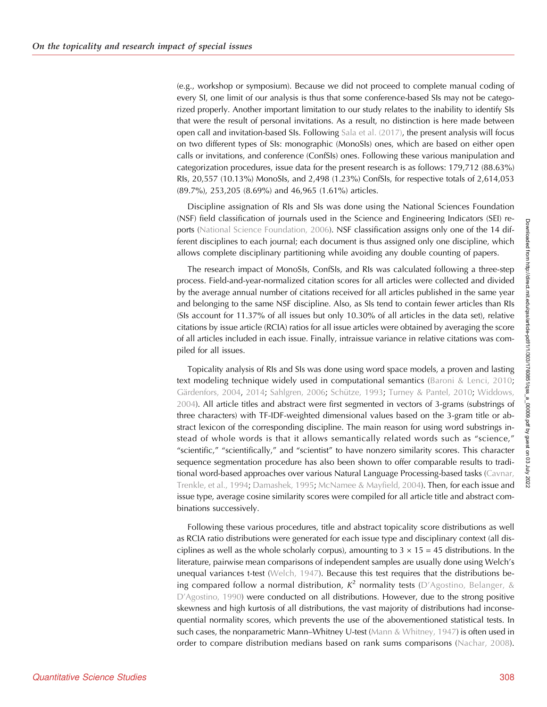(e.g., workshop or symposium). Because we did not proceed to complete manual coding of every SI, one limit of our analysis is thus that some conference-based SIs may not be categorized properly. Another important limitation to our study relates to the inability to identify SIs that were the result of personal invitations. As a result, no distinction is here made between open call and invitation-based SIs. Following [Sala et al. \(2017\)](#page-16-0), the present analysis will focus on two different types of SIs: monographic (MonoSIs) ones, which are based on either open calls or invitations, and conference (ConfSIs) ones. Following these various manipulation and categorization procedures, issue data for the present research is as follows: 179,712 (88.63%) RIs, 20,557 (10.13%) MonoSIs, and 2,498 (1.23%) ConfSIs, for respective totals of 2,614,053 (89.7%), 253,205 (8.69%) and 46,965 (1.61%) articles.

Discipline assignation of RIs and SIs was done using the National Sciences Foundation (NSF) field classification of journals used in the Science and Engineering Indicators (SEI) re-ports [\(National Science Foundation, 2006\)](#page-16-0). NSF classification assigns only one of the 14 different disciplines to each journal; each document is thus assigned only one discipline, which allows complete disciplinary partitioning while avoiding any double counting of papers.

The research impact of MonoSIs, ConfSIs, and RIs was calculated following a three-step process. Field-and-year-normalized citation scores for all articles were collected and divided by the average annual number of citations received for all articles published in the same year and belonging to the same NSF discipline. Also, as SIs tend to contain fewer articles than RIs (SIs account for 11.37% of all issues but only 10.30% of all articles in the data set), relative citations by issue article (RCIA) ratios for all issue articles were obtained by averaging the score of all articles included in each issue. Finally, intraissue variance in relative citations was compiled for all issues.

Topicality analysis of RIs and SIs was done using word space models, a proven and lasting text modeling technique widely used in computational semantics ([Baroni & Lenci, 2010](#page-15-0); [Gärdenfors, 2004,](#page-16-0) [2014;](#page-16-0) [Sahlgren, 2006](#page-16-0); [Schütze, 1993](#page-16-0); [Turney & Pantel, 2010;](#page-16-0) [Widdows,](#page-16-0) [2004\)](#page-16-0). All article titles and abstract were first segmented in vectors of 3-grams (substrings of three characters) with TF-IDF-weighted dimensional values based on the 3-gram title or abstract lexicon of the corresponding discipline. The main reason for using word substrings instead of whole words is that it allows semantically related words such as "science," "scientific," "scientifically," and "scientist" to have nonzero similarity scores. This character sequence segmentation procedure has also been shown to offer comparable results to traditional word-based approaches over various Natural Language Processing-based tasks ([Cavnar,](#page-15-0) [Trenkle, et al., 1994](#page-15-0); [Damashek, 1995;](#page-15-0) [McNamee & Mayfield, 2004](#page-16-0)). Then, for each issue and issue type, average cosine similarity scores were compiled for all article title and abstract combinations successively.

Following these various procedures, title and abstract topicality score distributions as well as RCIA ratio distributions were generated for each issue type and disciplinary context (all disciplines as well as the whole scholarly corpus), amounting to  $3 \times 15 = 45$  distributions. In the literature, pairwise mean comparisons of independent samples are usually done using Welch's unequal variances t-test ([Welch, 1947\)](#page-16-0). Because this test requires that the distributions being compared follow a normal distribution,  $K^2$  normality tests (D'[Agostino, Belanger, &](#page-15-0) D'[Agostino, 1990](#page-15-0)) were conducted on all distributions. However, due to the strong positive skewness and high kurtosis of all distributions, the vast majority of distributions had inconsequential normality scores, which prevents the use of the abovementioned statistical tests. In such cases, the nonparametric Mann–Whitney U-test ([Mann & Whitney, 1947\)](#page-16-0) is often used in order to compare distribution medians based on rank sums comparisons [\(Nachar, 2008\)](#page-16-0).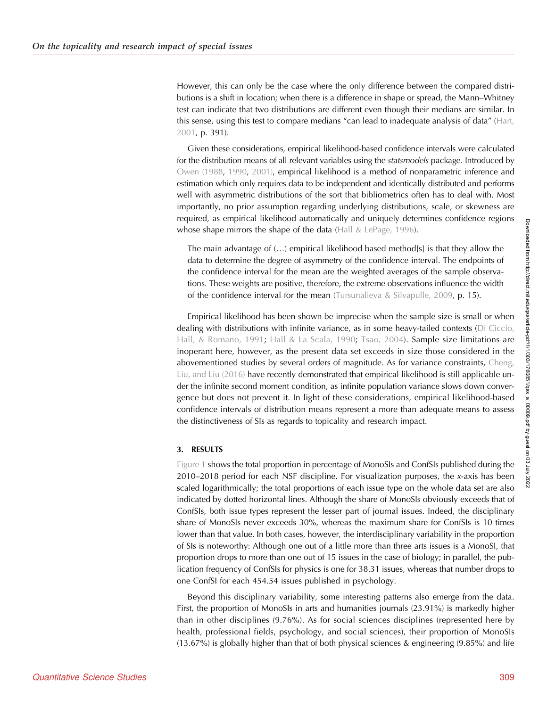However, this can only be the case where the only difference between the compared distributions is a shift in location; when there is a difference in shape or spread, the Mann–Whitney test can indicate that two distributions are different even though their medians are similar. In this sense, using this test to compare medians "can lead to inadequate analysis of data" ([Hart,](#page-16-0) [2001,](#page-16-0) p. 391).

Given these considerations, empirical likelihood-based confidence intervals were calculated for the distribution means of all relevant variables using the *statsmodels* package. Introduced by [Owen \(1988,](#page-16-0) [1990](#page-16-0), [2001\)](#page-16-0), empirical likelihood is a method of nonparametric inference and estimation which only requires data to be independent and identically distributed and performs well with asymmetric distributions of the sort that bibliometrics often has to deal with. Most importantly, no prior assumption regarding underlying distributions, scale, or skewness are required, as empirical likelihood automatically and uniquely determines confidence regions whose shape mirrors the shape of the data ([Hall & LePage, 1996](#page-16-0)).

The main advantage of  $\dots$ ) empirical likelihood based method[s] is that they allow the data to determine the degree of asymmetry of the confidence interval. The endpoints of the confidence interval for the mean are the weighted averages of the sample observations. These weights are positive, therefore, the extreme observations influence the width of the confidence interval for the mean ([Tursunalieva & Silvapulle, 2009,](#page-16-0) p. 15).

Empirical likelihood has been shown be imprecise when the sample size is small or when dealing with distributions with infinite variance, as in some heavy-tailed contexts [\(Di Ciccio,](#page-16-0) [Hall, & Romano, 1991;](#page-16-0) [Hall & La Scala, 1990](#page-16-0); [Tsao, 2004\)](#page-16-0). Sample size limitations are inoperant here, however, as the present data set exceeds in size those considered in the abovementioned studies by several orders of magnitude. As for variance constraints, [Cheng,](#page-15-0) [Liu, and Liu \(2016\)](#page-15-0) have recently demonstrated that empirical likelihood is still applicable under the infinite second moment condition, as infinite population variance slows down convergence but does not prevent it. In light of these considerations, empirical likelihood-based confidence intervals of distribution means represent a more than adequate means to assess the distinctiveness of SIs as regards to topicality and research impact.

## 3. RESULTS

[Figure 1](#page-7-0) shows the total proportion in percentage of MonoSIs and ConfSIs published during the 2010–2018 period for each NSF discipline. For visualization purposes, the x-axis has been scaled logarithmically; the total proportions of each issue type on the whole data set are also indicated by dotted horizontal lines. Although the share of MonoSIs obviously exceeds that of ConfSIs, both issue types represent the lesser part of journal issues. Indeed, the disciplinary share of MonoSIs never exceeds 30%, whereas the maximum share for ConfSIs is 10 times lower than that value. In both cases, however, the interdisciplinary variability in the proportion of SIs is noteworthy: Although one out of a little more than three arts issues is a MonoSI, that proportion drops to more than one out of 15 issues in the case of biology; in parallel, the publication frequency of ConfSIs for physics is one for 38.31 issues, whereas that number drops to one ConfSI for each 454.54 issues published in psychology.

Beyond this disciplinary variability, some interesting patterns also emerge from the data. First, the proportion of MonoSIs in arts and humanities journals (23.91%) is markedly higher than in other disciplines (9.76%). As for social sciences disciplines (represented here by health, professional fields, psychology, and social sciences), their proportion of MonoSIs (13.67%) is globally higher than that of both physical sciences & engineering (9.85%) and life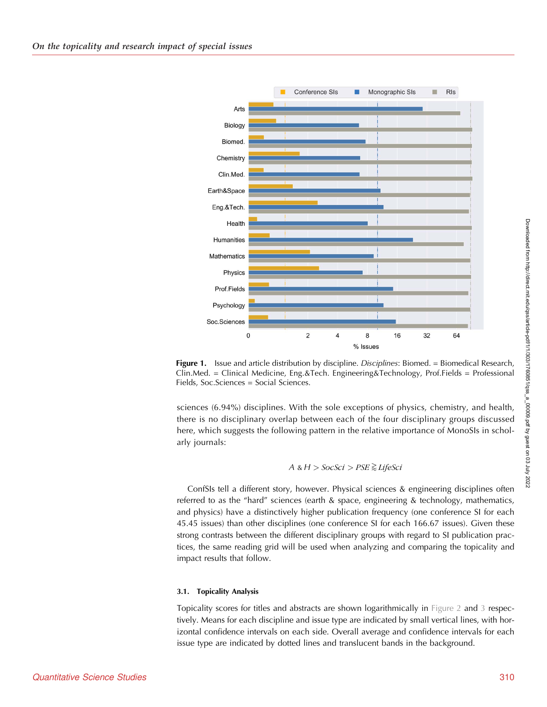<span id="page-7-0"></span>



sciences (6.94%) disciplines. With the sole exceptions of physics, chemistry, and health, there is no disciplinary overlap between each of the four disciplinary groups discussed here, which suggests the following pattern in the relative importance of MonoSIs in scholarly journals:

### $A \& H > SocSci > PSE \gtrapprox LifeSci$

ConfSIs tell a different story, however. Physical sciences & engineering disciplines often referred to as the "hard" sciences (earth & space, engineering & technology, mathematics, and physics) have a distinctively higher publication frequency (one conference SI for each 45.45 issues) than other disciplines (one conference SI for each 166.67 issues). Given these strong contrasts between the different disciplinary groups with regard to SI publication practices, the same reading grid will be used when analyzing and comparing the topicality and impact results that follow.

#### 3.1. Topicality Analysis

Topicality scores for titles and abstracts are shown logarithmically in [Figure 2](#page-8-0) and [3](#page-9-0) respectively. Means for each discipline and issue type are indicated by small vertical lines, with horizontal confidence intervals on each side. Overall average and confidence intervals for each issue type are indicated by dotted lines and translucent bands in the background.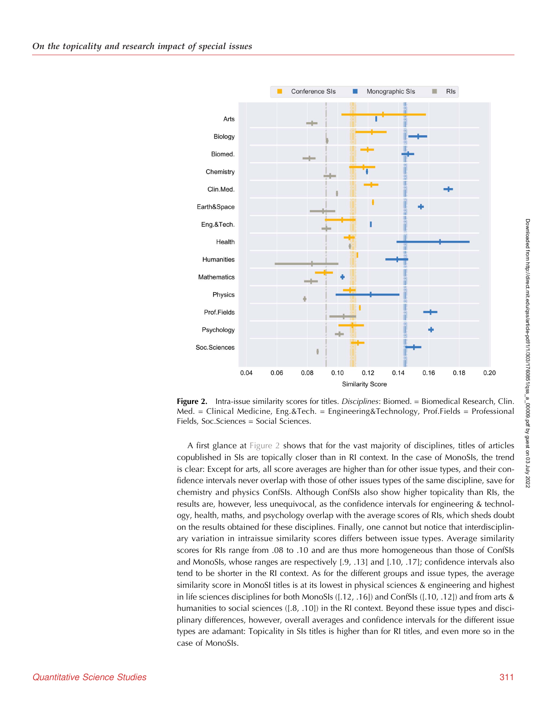<span id="page-8-0"></span>

Figure 2. Intra-issue similarity scores for titles. Disciplines: Biomed. = Biomedical Research, Clin. Med. = Clinical Medicine, Eng.&Tech. = Engineering&Technology, Prof.Fields = Professional Fields, Soc.Sciences = Social Sciences.

A first glance at Figure 2 shows that for the vast majority of disciplines, titles of articles copublished in SIs are topically closer than in RI context. In the case of MonoSIs, the trend is clear: Except for arts, all score averages are higher than for other issue types, and their confidence intervals never overlap with those of other issues types of the same discipline, save for chemistry and physics ConfSIs. Although ConfSIs also show higher topicality than RIs, the results are, however, less unequivocal, as the confidence intervals for engineering & technology, health, maths, and psychology overlap with the average scores of RIs, which sheds doubt on the results obtained for these disciplines. Finally, one cannot but notice that interdisciplinary variation in intraissue similarity scores differs between issue types. Average similarity scores for RIs range from .08 to .10 and are thus more homogeneous than those of ConfSIs and MonoSIs, whose ranges are respectively [.9, .13] and [.10, .17]; confidence intervals also tend to be shorter in the RI context. As for the different groups and issue types, the average similarity score in MonoSI titles is at its lowest in physical sciences & engineering and highest in life sciences disciplines for both MonoSIs ([.12, .16]) and ConfSIs ([.10, .12]) and from arts & humanities to social sciences ([.8, .10]) in the RI context. Beyond these issue types and disciplinary differences, however, overall averages and confidence intervals for the different issue types are adamant: Topicality in SIs titles is higher than for RI titles, and even more so in the case of MonoSIs.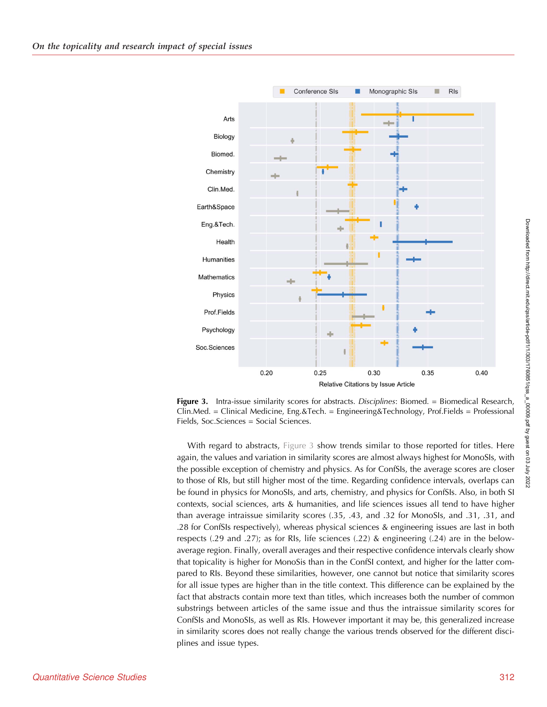<span id="page-9-0"></span>

Figure 3. Intra-issue similarity scores for abstracts. Disciplines: Biomed. = Biomedical Research, Clin.Med. = Clinical Medicine, Eng.&Tech. = Engineering&Technology, Prof.Fields = Professional Fields, Soc.Sciences = Social Sciences.

With regard to abstracts, Figure 3 show trends similar to those reported for titles. Here again, the values and variation in similarity scores are almost always highest for MonoSIs, with the possible exception of chemistry and physics. As for ConfSIs, the average scores are closer to those of RIs, but still higher most of the time. Regarding confidence intervals, overlaps can be found in physics for MonoSIs, and arts, chemistry, and physics for ConfSIs. Also, in both SI contexts, social sciences, arts & humanities, and life sciences issues all tend to have higher than average intraissue similarity scores (.35, .43, and .32 for MonoSIs, and .31, .31, and .28 for ConfSIs respectively), whereas physical sciences & engineering issues are last in both respects (.29 and .27); as for RIs, life sciences (.22) & engineering (.24) are in the belowaverage region. Finally, overall averages and their respective confidence intervals clearly show that topicality is higher for MonoSis than in the ConfSI context, and higher for the latter compared to RIs. Beyond these similarities, however, one cannot but notice that similarity scores for all issue types are higher than in the title context. This difference can be explained by the fact that abstracts contain more text than titles, which increases both the number of common substrings between articles of the same issue and thus the intraissue similarity scores for ConfSIs and MonoSIs, as well as RIs. However important it may be, this generalized increase in similarity scores does not really change the various trends observed for the different disciplines and issue types.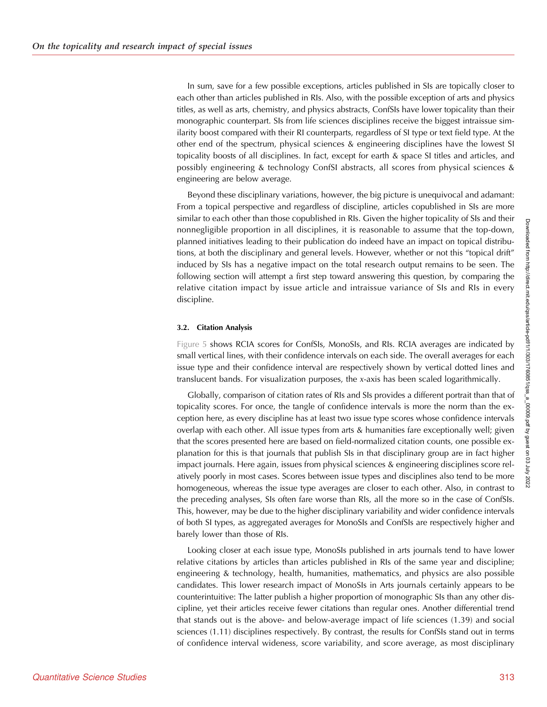In sum, save for a few possible exceptions, articles published in SIs are topically closer to each other than articles published in RIs. Also, with the possible exception of arts and physics titles, as well as arts, chemistry, and physics abstracts, ConfSIs have lower topicality than their monographic counterpart. SIs from life sciences disciplines receive the biggest intraissue similarity boost compared with their RI counterparts, regardless of SI type or text field type. At the other end of the spectrum, physical sciences & engineering disciplines have the lowest SI topicality boosts of all disciplines. In fact, except for earth & space SI titles and articles, and possibly engineering & technology ConfSI abstracts, all scores from physical sciences & engineering are below average.

Beyond these disciplinary variations, however, the big picture is unequivocal and adamant: From a topical perspective and regardless of discipline, articles copublished in SIs are more similar to each other than those copublished in RIs. Given the higher topicality of SIs and their nonnegligible proportion in all disciplines, it is reasonable to assume that the top-down, planned initiatives leading to their publication do indeed have an impact on topical distributions, at both the disciplinary and general levels. However, whether or not this "topical drift" induced by SIs has a negative impact on the total research output remains to be seen. The following section will attempt a first step toward answering this question, by comparing the relative citation impact by issue article and intraissue variance of SIs and RIs in every discipline.

#### 3.2. Citation Analysis

[Figure 5](#page-12-0) shows RCIA scores for ConfSIs, MonoSIs, and RIs. RCIA averages are indicated by small vertical lines, with their confidence intervals on each side. The overall averages for each issue type and their confidence interval are respectively shown by vertical dotted lines and translucent bands. For visualization purposes, the x-axis has been scaled logarithmically.

Globally, comparison of citation rates of RIs and SIs provides a different portrait than that of topicality scores. For once, the tangle of confidence intervals is more the norm than the exception here, as every discipline has at least two issue type scores whose confidence intervals overlap with each other. All issue types from arts & humanities fare exceptionally well; given that the scores presented here are based on field-normalized citation counts, one possible explanation for this is that journals that publish SIs in that disciplinary group are in fact higher impact journals. Here again, issues from physical sciences & engineering disciplines score relatively poorly in most cases. Scores between issue types and disciplines also tend to be more homogeneous, whereas the issue type averages are closer to each other. Also, in contrast to the preceding analyses, SIs often fare worse than RIs, all the more so in the case of ConfSIs. This, however, may be due to the higher disciplinary variability and wider confidence intervals of both SI types, as aggregated averages for MonoSIs and ConfSIs are respectively higher and barely lower than those of RIs.

Looking closer at each issue type, MonoSIs published in arts journals tend to have lower relative citations by articles than articles published in RIs of the same year and discipline; engineering & technology, health, humanities, mathematics, and physics are also possible candidates. This lower research impact of MonoSIs in Arts journals certainly appears to be counterintuitive: The latter publish a higher proportion of monographic SIs than any other discipline, yet their articles receive fewer citations than regular ones. Another differential trend that stands out is the above- and below-average impact of life sciences (1.39) and social sciences (1.11) disciplines respectively. By contrast, the results for ConfSIs stand out in terms of confidence interval wideness, score variability, and score average, as most disciplinary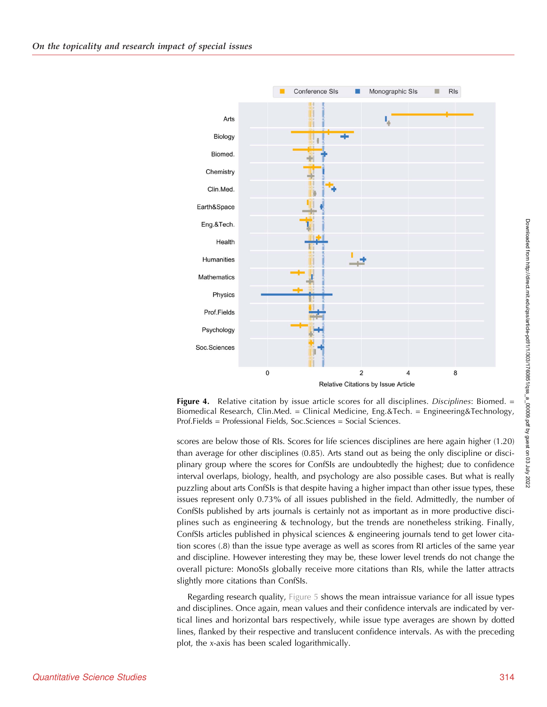<span id="page-11-0"></span>

Figure 4. Relative citation by issue article scores for all disciplines. Disciplines: Biomed. = Biomedical Research, Clin.Med. = Clinical Medicine, Eng.&Tech. = Engineering&Technology, Prof.Fields = Professional Fields, Soc.Sciences = Social Sciences.

scores are below those of RIs. Scores for life sciences disciplines are here again higher (1.20) than average for other disciplines (0.85). Arts stand out as being the only discipline or disciplinary group where the scores for ConfSIs are undoubtedly the highest; due to confidence interval overlaps, biology, health, and psychology are also possible cases. But what is really puzzling about arts ConfSIs is that despite having a higher impact than other issue types, these issues represent only 0.73% of all issues published in the field. Admittedly, the number of ConfSIs published by arts journals is certainly not as important as in more productive disciplines such as engineering & technology, but the trends are nonetheless striking. Finally, ConfSIs articles published in physical sciences & engineering journals tend to get lower citation scores (.8) than the issue type average as well as scores from RI articles of the same year and discipline. However interesting they may be, these lower level trends do not change the overall picture: MonoSIs globally receive more citations than RIs, while the latter attracts slightly more citations than ConfSIs.

Regarding research quality, [Figure 5](#page-12-0) shows the mean intraissue variance for all issue types and disciplines. Once again, mean values and their confidence intervals are indicated by vertical lines and horizontal bars respectively, while issue type averages are shown by dotted lines, flanked by their respective and translucent confidence intervals. As with the preceding plot, the x-axis has been scaled logarithmically.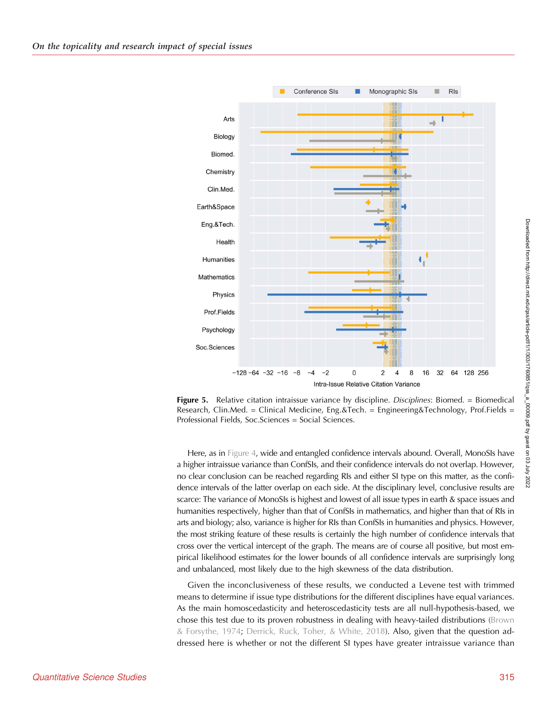<span id="page-12-0"></span>

**Figure 5.** Relative citation intraissue variance by discipline. *Disciplines*: Biomed. = Biomedical Research, Clin.Med. = Clinical Medicine, Eng.&Tech. = Engineering&Technology, Prof.Fields = Professional Fields, Soc.Sciences = Social Sciences.

Here, as in [Figure 4,](#page-11-0) wide and entangled confidence intervals abound. Overall, MonoSIs have a higher intraissue variance than ConfSIs, and their confidence intervals do not overlap. However, no clear conclusion can be reached regarding RIs and either SI type on this matter, as the confidence intervals of the latter overlap on each side. At the disciplinary level, conclusive results are scarce: The variance of MonoSIs is highest and lowest of all issue types in earth & space issues and humanities respectively, higher than that of ConfSIs in mathematics, and higher than that of RIs in arts and biology; also, variance is higher for RIs than ConfSIs in humanities and physics. However, the most striking feature of these results is certainly the high number of confidence intervals that cross over the vertical intercept of the graph. The means are of course all positive, but most empirical likelihood estimates for the lower bounds of all confidence intervals are surprisingly long and unbalanced, most likely due to the high skewness of the data distribution.

Given the inconclusiveness of these results, we conducted a Levene test with trimmed means to determine if issue type distributions for the different disciplines have equal variances. As the main homoscedasticity and heteroscedasticity tests are all null-hypothesis-based, we chose this test due to its proven robustness in dealing with heavy-tailed distributions [\(Brown](#page-15-0) [& Forsythe, 1974;](#page-15-0) [Derrick, Ruck, Toher, & White, 2018](#page-15-0)). Also, given that the question addressed here is whether or not the different SI types have greater intraissue variance than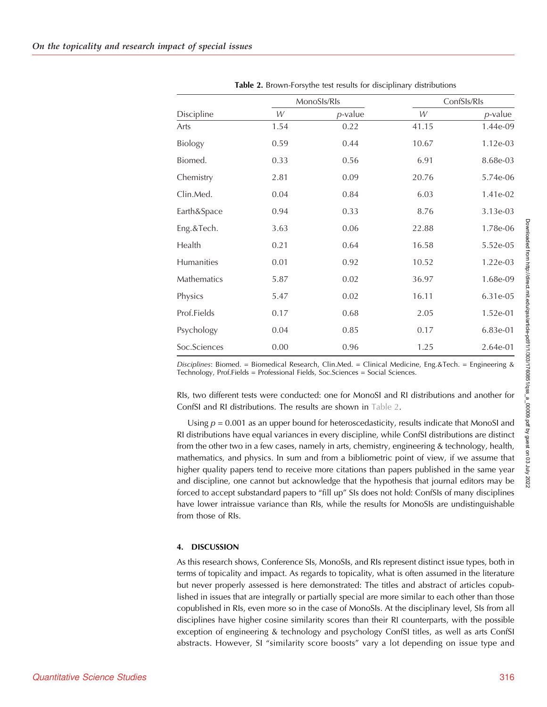| Discipline     | MonoSIs/RIs |            | ConfSIs/RIs |          |
|----------------|-------------|------------|-------------|----------|
|                | W           | $p$ -value | W           | p-value  |
| Arts           | 1.54        | 0.22       | 41.15       | 1.44e-09 |
| <b>Biology</b> | 0.59        | 0.44       | 10.67       | 1.12e-03 |
| Biomed.        | 0.33        | 0.56       | 6.91        | 8.68e-03 |
| Chemistry      | 2.81        | 0.09       | 20.76       | 5.74e-06 |
| Clin.Med.      | 0.04        | 0.84       | 6.03        | 1.41e-02 |
| Earth&Space    | 0.94        | 0.33       | 8.76        | 3.13e-03 |
| Eng.&Tech.     | 3.63        | 0.06       | 22.88       | 1.78e-06 |
| Health         | 0.21        | 0.64       | 16.58       | 5.52e-05 |
| Humanities     | 0.01        | 0.92       | 10.52       | 1.22e-03 |
| Mathematics    | 5.87        | 0.02       | 36.97       | 1.68e-09 |
| Physics        | 5.47        | 0.02       | 16.11       | 6.31e-05 |
| Prof.Fields    | 0.17        | 0.68       | 2.05        | 1.52e-01 |
| Psychology     | 0.04        | 0.85       | 0.17        | 6.83e-01 |
| Soc.Sciences   | 0.00        | 0.96       | 1.25        | 2.64e-01 |

Table 2. Brown-Forsythe test results for disciplinary distributions

Disciplines: Biomed. = Biomedical Research, Clin.Med. = Clinical Medicine, Eng. & Tech. = Engineering & Technology, Prof.Fields = Professional Fields, Soc.Sciences = Social Sciences.

RIs, two different tests were conducted: one for MonoSI and RI distributions and another for ConfSI and RI distributions. The results are shown in Table 2.

Using  $p = 0.001$  as an upper bound for heteroscedasticity, results indicate that MonoSI and RI distributions have equal variances in every discipline, while ConfSI distributions are distinct from the other two in a few cases, namely in arts, chemistry, engineering & technology, health, mathematics, and physics. In sum and from a bibliometric point of view, if we assume that higher quality papers tend to receive more citations than papers published in the same year and discipline, one cannot but acknowledge that the hypothesis that journal editors may be forced to accept substandard papers to "fill up" SIs does not hold: ConfSIs of many disciplines have lower intraissue variance than RIs, while the results for MonoSIs are undistinguishable from those of RIs.

#### 4. DISCUSSION

As this research shows, Conference SIs, MonoSIs, and RIs represent distinct issue types, both in terms of topicality and impact. As regards to topicality, what is often assumed in the literature but never properly assessed is here demonstrated: The titles and abstract of articles copublished in issues that are integrally or partially special are more similar to each other than those copublished in RIs, even more so in the case of MonoSIs. At the disciplinary level, SIs from all disciplines have higher cosine similarity scores than their RI counterparts, with the possible exception of engineering & technology and psychology ConfSI titles, as well as arts ConfSI abstracts. However, SI "similarity score boosts" vary a lot depending on issue type and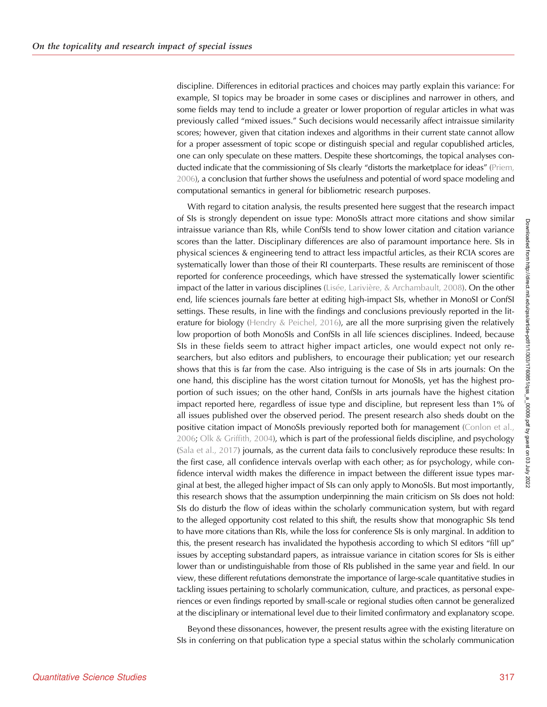discipline. Differences in editorial practices and choices may partly explain this variance: For example, SI topics may be broader in some cases or disciplines and narrower in others, and some fields may tend to include a greater or lower proportion of regular articles in what was previously called "mixed issues." Such decisions would necessarily affect intraissue similarity scores; however, given that citation indexes and algorithms in their current state cannot allow for a proper assessment of topic scope or distinguish special and regular copublished articles, one can only speculate on these matters. Despite these shortcomings, the topical analyses con-ducted indicate that the commissioning of SIs clearly "distorts the marketplace for ideas" ([Priem,](#page-16-0) [2006\)](#page-16-0), a conclusion that further shows the usefulness and potential of word space modeling and computational semantics in general for bibliometric research purposes.

With regard to citation analysis, the results presented here suggest that the research impact of SIs is strongly dependent on issue type: MonoSIs attract more citations and show similar intraissue variance than RIs, while ConfSIs tend to show lower citation and citation variance scores than the latter. Disciplinary differences are also of paramount importance here. SIs in physical sciences & engineering tend to attract less impactful articles, as their RCIA scores are systematically lower than those of their RI counterparts. These results are reminiscent of those reported for conference proceedings, which have stressed the systematically lower scientific impact of the latter in various disciplines ([Lisée, Larivière, & Archambault, 2008](#page-16-0)). On the other end, life sciences journals fare better at editing high-impact SIs, whether in MonoSI or ConfSI settings. These results, in line with the findings and conclusions previously reported in the lit-erature for biology [\(Hendry & Peichel, 2016](#page-16-0)), are all the more surprising given the relatively low proportion of both MonoSIs and ConfSIs in all life sciences disciplines. Indeed, because SIs in these fields seem to attract higher impact articles, one would expect not only researchers, but also editors and publishers, to encourage their publication; yet our research shows that this is far from the case. Also intriguing is the case of SIs in arts journals: On the one hand, this discipline has the worst citation turnout for MonoSIs, yet has the highest proportion of such issues; on the other hand, ConfSIs in arts journals have the highest citation impact reported here, regardless of issue type and discipline, but represent less than 1% of all issues published over the observed period. The present research also sheds doubt on the positive citation impact of MonoSIs previously reported both for management [\(Conlon et al.,](#page-15-0) [2006;](#page-15-0) [Olk & Griffith, 2004\)](#page-16-0), which is part of the professional fields discipline, and psychology ([Sala et al., 2017](#page-16-0)) journals, as the current data fails to conclusively reproduce these results: In the first case, all confidence intervals overlap with each other; as for psychology, while confidence interval width makes the difference in impact between the different issue types marginal at best, the alleged higher impact of SIs can only apply to MonoSIs. But most importantly, this research shows that the assumption underpinning the main criticism on SIs does not hold: SIs do disturb the flow of ideas within the scholarly communication system, but with regard to the alleged opportunity cost related to this shift, the results show that monographic SIs tend to have more citations than RIs, while the loss for conference SIs is only marginal. In addition to this, the present research has invalidated the hypothesis according to which SI editors "fill up" issues by accepting substandard papers, as intraissue variance in citation scores for SIs is either lower than or undistinguishable from those of RIs published in the same year and field. In our view, these different refutations demonstrate the importance of large-scale quantitative studies in tackling issues pertaining to scholarly communication, culture, and practices, as personal experiences or even findings reported by small-scale or regional studies often cannot be generalized at the disciplinary or international level due to their limited confirmatory and explanatory scope.

Beyond these dissonances, however, the present results agree with the existing literature on SIs in conferring on that publication type a special status within the scholarly communication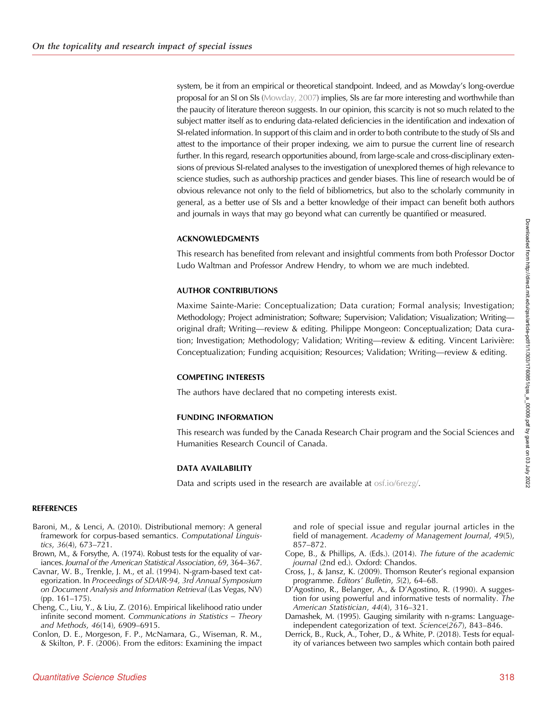<span id="page-15-0"></span>system, be it from an empirical or theoretical standpoint. Indeed, and as Mowday's long-overdue proposal for an SI on SIs [\(Mowday, 2007\)](#page-16-0) implies, SIs are far more interesting and worthwhile than the paucity of literature thereon suggests. In our opinion, this scarcity is not so much related to the subject matter itself as to enduring data-related deficiencies in the identification and indexation of SI-related information. In support of this claim and in order to both contribute to the study of SIs and attest to the importance of their proper indexing, we aim to pursue the current line of research further. In this regard, research opportunities abound, from large-scale and cross-disciplinary extensions of previous SI-related analyses to the investigation of unexplored themes of high relevance to science studies, such as authorship practices and gender biases. This line of research would be of obvious relevance not only to the field of bibliometrics, but also to the scholarly community in general, as a better use of SIs and a better knowledge of their impact can benefit both authors and journals in ways that may go beyond what can currently be quantified or measured.

## ACKNOWLEDGMENTS

This research has benefited from relevant and insightful comments from both Professor Doctor Ludo Waltman and Professor Andrew Hendry, to whom we are much indebted.

## AUTHOR CONTRIBUTIONS

Maxime Sainte-Marie: Conceptualization; Data curation; Formal analysis; Investigation; Methodology; Project administration; Software; Supervision; Validation; Visualization; Writing original draft; Writing—review & editing. Philippe Mongeon: Conceptualization; Data curation; Investigation; Methodology; Validation; Writing—review & editing. Vincent Larivière: Conceptualization; Funding acquisition; Resources; Validation; Writing—review & editing.

#### COMPETING INTERESTS

The authors have declared that no competing interests exist.

#### FUNDING INFORMATION

This research was funded by the Canada Research Chair program and the Social Sciences and Humanities Research Council of Canada.

#### DATA AVAILABILITY

Data and scripts used in the research are available at [osf.io/6rezg/](http://osf.io/6rezg/).

#### **REFERENCES**

- Baroni, M., & Lenci, A. (2010). Distributional memory: A general framework for corpus-based semantics. Computational Linguistics, 36(4), 673–721.
- Brown, M., & Forsythe, A. (1974). Robust tests for the equality of variances. Journal of the American Statistical Association, 69, 364–367.
- Cavnar, W. B., Trenkle, J. M., et al. (1994). N-gram-based text categorization. In Proceedings of SDAIR-94, 3rd Annual Symposium on Document Analysis and Information Retrieval (Las Vegas, NV) (pp. 161–175).
- Cheng, C., Liu, Y., & Liu, Z. (2016). Empirical likelihood ratio under infinite second moment. Communications in Statistics – Theory and Methods, 46(14), 6909–6915.
- Conlon, D. E., Morgeson, F. P., McNamara, G., Wiseman, R. M., & Skilton, P. F. (2006). From the editors: Examining the impact

and role of special issue and regular journal articles in the field of management. Academy of Management Journal, 49(5), 857–872.

- Cope, B., & Phillips, A. (Eds.). (2014). The future of the academic journal (2nd ed.). Oxford: Chandos.
- Cross, J., & Jansz, K. (2009). Thomson Reuter's regional expansion programme. Editors' Bulletin, 5(2), 64–68.
- D'Agostino, R., Belanger, A., & D'Agostino, R. (1990). A suggestion for using powerful and informative tests of normality. The American Statistician, 44(4), 316–321.
- Damashek, M. (1995). Gauging similarity with n-grams: Languageindependent categorization of text. Science(267), 843–846.
- Derrick, B., Ruck, A., Toher, D., & White, P. (2018). Tests for equality of variances between two samples which contain both paired

Downloaded from http://direct.mit.edu/qss/article-pdf/1/1/303/1760851/qss\_a\_00009.pdf by guest on 03 July 2022 Downloaded from http://direct.mit.edu/qss/article-pdf/1/1/303/1760851/qss\_a\_00009.pdf by guest on 03 July 2022